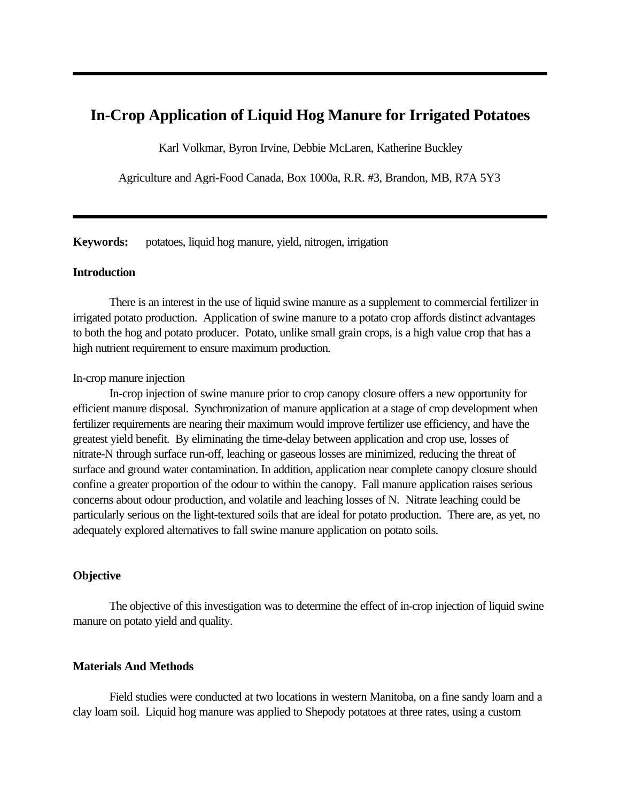# **In-Crop Application of Liquid Hog Manure for Irrigated Potatoes**

Karl Volkmar, Byron Irvine, Debbie McLaren, Katherine Buckley

Agriculture and Agri-Food Canada, Box 1000a, R.R. #3, Brandon, MB, R7A 5Y3

**Keywords:** potatoes, liquid hog manure, yield, nitrogen, irrigation

#### **Introduction**

There is an interest in the use of liquid swine manure as a supplement to commercial fertilizer in irrigated potato production. Application of swine manure to a potato crop affords distinct advantages to both the hog and potato producer. Potato, unlike small grain crops, is a high value crop that has a high nutrient requirement to ensure maximum production.

#### In-crop manure injection

In-crop injection of swine manure prior to crop canopy closure offers a new opportunity for efficient manure disposal. Synchronization of manure application at a stage of crop development when fertilizer requirements are nearing their maximum would improve fertilizer use efficiency, and have the greatest yield benefit. By eliminating the time-delay between application and crop use, losses of nitrate-N through surface run-off, leaching or gaseous losses are minimized, reducing the threat of surface and ground water contamination. In addition, application near complete canopy closure should confine a greater proportion of the odour to within the canopy. Fall manure application raises serious concerns about odour production, and volatile and leaching losses of N. Nitrate leaching could be particularly serious on the light-textured soils that are ideal for potato production. There are, as yet, no adequately explored alternatives to fall swine manure application on potato soils.

#### **Objective**

The objective of this investigation was to determine the effect of in-crop injection of liquid swine manure on potato yield and quality.

#### **Materials And Methods**

Field studies were conducted at two locations in western Manitoba, on a fine sandy loam and a clay loam soil. Liquid hog manure was applied to Shepody potatoes at three rates, using a custom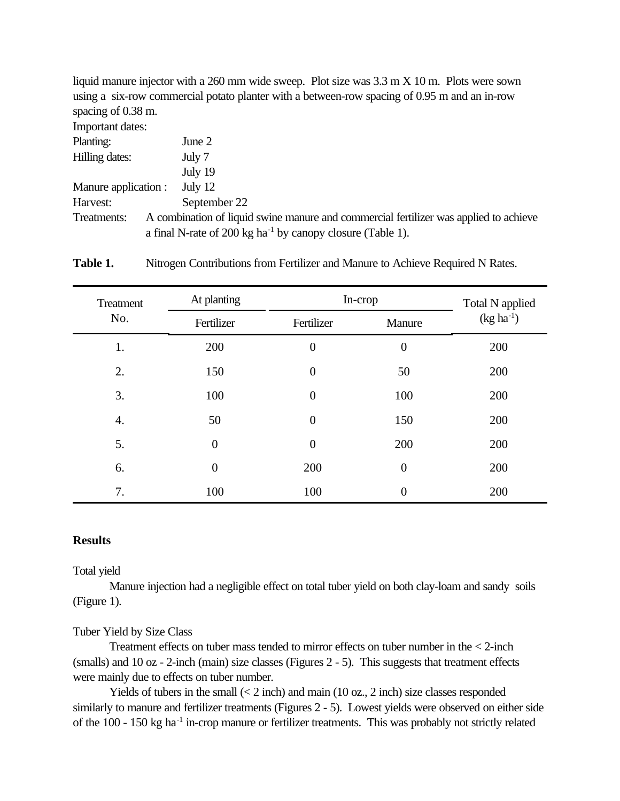liquid manure injector with a 260 mm wide sweep. Plot size was 3.3 m X 10 m. Plots were sown using a six-row commercial potato planter with a between-row spacing of 0.95 m and an in-row spacing of 0.38 m.

Important dates:

| Planting:            | June 2                                                                                                                                                          |
|----------------------|-----------------------------------------------------------------------------------------------------------------------------------------------------------------|
| Hilling dates:       | July 7                                                                                                                                                          |
|                      | July 19                                                                                                                                                         |
| Manure application : | July $12$                                                                                                                                                       |
| Harvest:             | September 22                                                                                                                                                    |
| Treatments:          | A combination of liquid swine manure and commercial fertilizer was applied to achieve<br>a final N-rate of 200 kg ha <sup>-1</sup> by canopy closure (Table 1). |

Table 1. Nitrogen Contributions from Fertilizer and Manure to Achieve Required N Rates.

| Treatment<br>No. | At planting      | In-crop        |                  | Total N applied |
|------------------|------------------|----------------|------------------|-----------------|
|                  | Fertilizer       | Fertilizer     | Manure           | $(kg ha^{-1})$  |
| 1.               | 200              | $\overline{0}$ | $\boldsymbol{0}$ | 200             |
| 2.               | 150              | $\overline{0}$ | 50               | 200             |
| 3.               | 100              | $\overline{0}$ | 100              | 200             |
| $\overline{4}$ . | 50               | $\overline{0}$ | 150              | 200             |
| 5.               | $\overline{0}$   | $\overline{0}$ | 200              | 200             |
| 6.               | $\boldsymbol{0}$ | 200            | $\overline{0}$   | 200             |
| 7.               | 100              | 100            | 0                | 200             |

### **Results**

Total yield

Manure injection had a negligible effect on total tuber yield on both clay-loam and sandy soils (Figure 1).

#### Tuber Yield by Size Class

Treatment effects on tuber mass tended to mirror effects on tuber number in the < 2-inch (smalls) and 10 oz - 2-inch (main) size classes (Figures 2 - 5). This suggests that treatment effects were mainly due to effects on tuber number.

Yields of tubers in the small  $\langle 2 \text{ inch} \rangle$  and main  $(10 \text{ oz}, 2 \text{ inch})$  size classes responded similarly to manure and fertilizer treatments (Figures 2 - 5). Lowest yields were observed on either side of the 100 - 150 kg ha<sup>-1</sup> in-crop manure or fertilizer treatments. This was probably not strictly related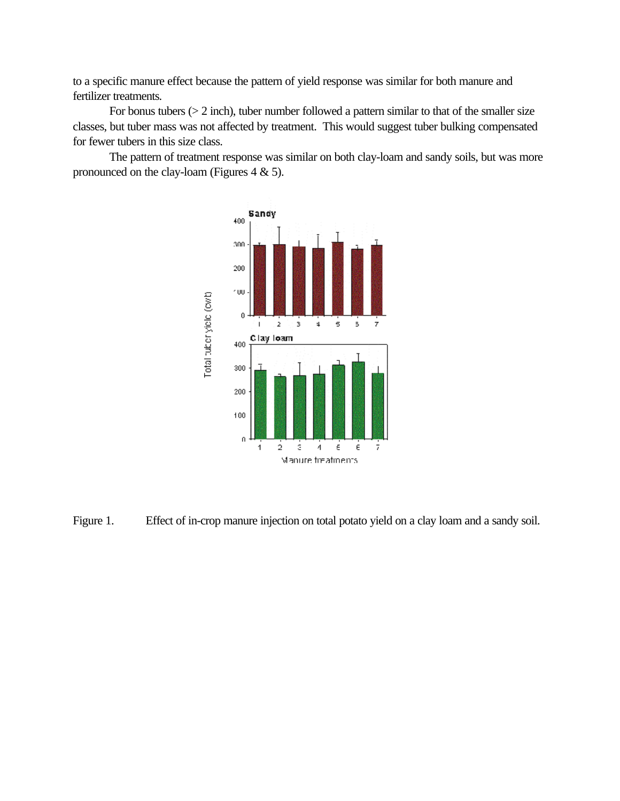to a specific manure effect because the pattern of yield response was similar for both manure and fertilizer treatments.

For bonus tubers  $(> 2$  inch), tuber number followed a pattern similar to that of the smaller size classes, but tuber mass was not affected by treatment. This would suggest tuber bulking compensated for fewer tubers in this size class.

The pattern of treatment response was similar on both clay-loam and sandy soils, but was more pronounced on the clay-loam (Figures  $4 \& 5$ ).



Figure 1. Effect of in-crop manure injection on total potato yield on a clay loam and a sandy soil.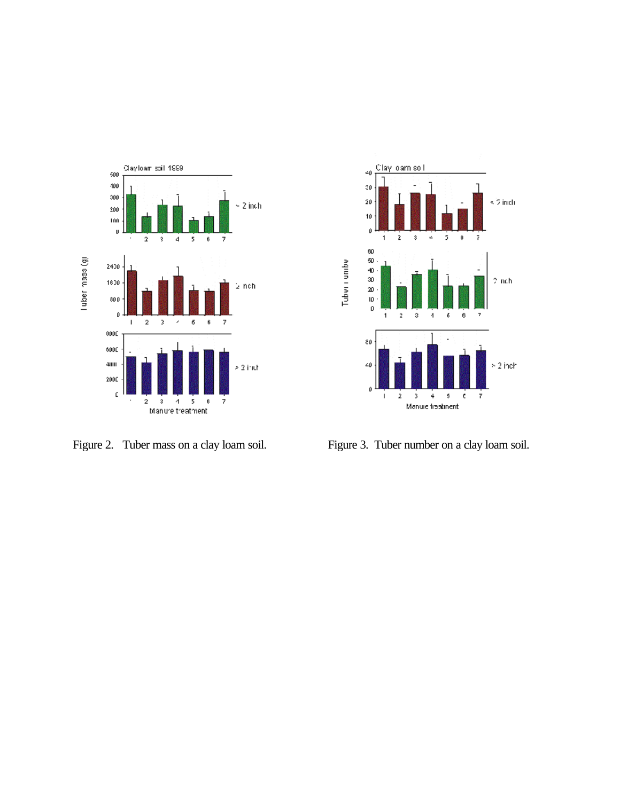



Figure 2. Tuber mass on a clay loam soil. Figure 3. Tuber number on a clay loam soil.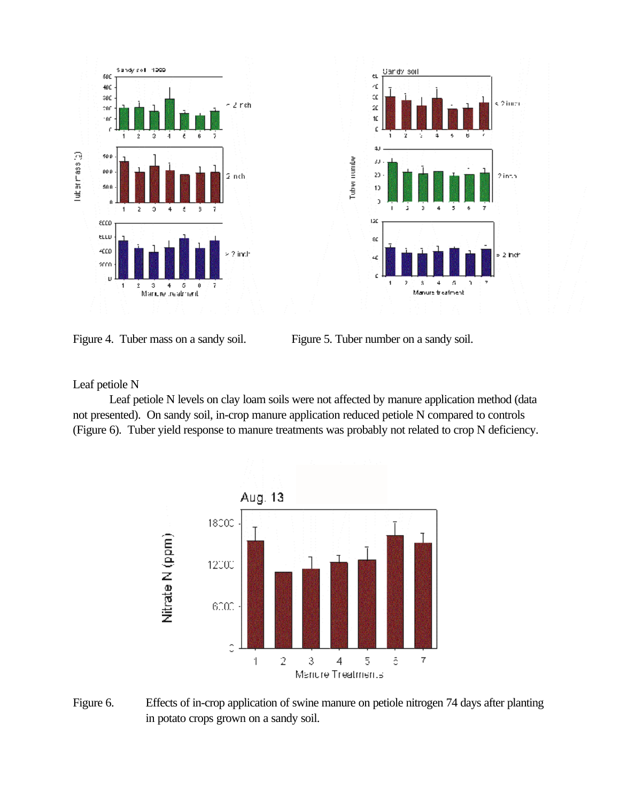



Figure 4. Tuber mass on a sandy soil. Figure 5. Tuber number on a sandy soil.

Leaf petiole N

Leaf petiole N levels on clay loam soils were not affected by manure application method (data not presented). On sandy soil, in-crop manure application reduced petiole N compared to controls (Figure 6). Tuber yield response to manure treatments was probably not related to crop N deficiency.



Figure 6. Effects of in-crop application of swine manure on petiole nitrogen 74 days after planting in potato crops grown on a sandy soil.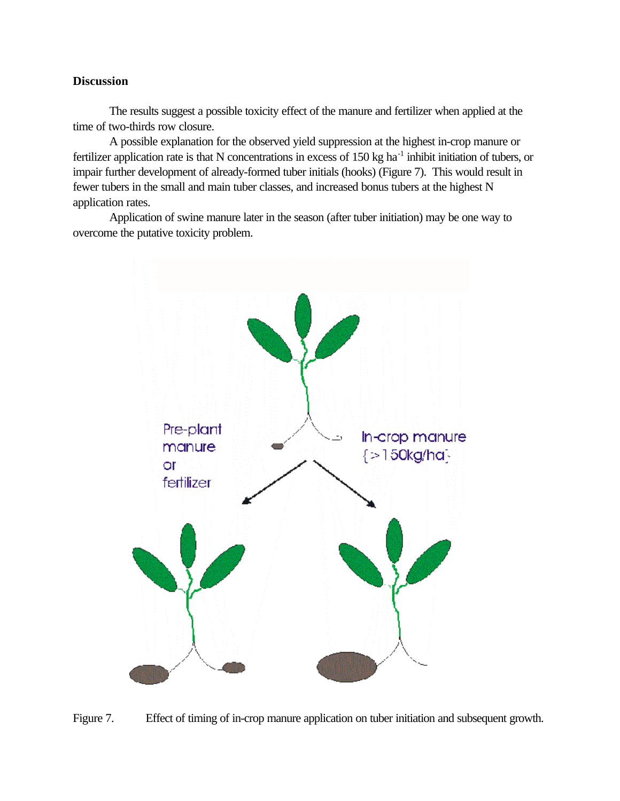### **Discussion**

The results suggest a possible toxicity effect of the manure and fertilizer when applied at the time of two-thirds row closure.

A possible explanation for the observed yield suppression at the highest in-crop manure or fertilizer application rate is that N concentrations in excess of  $150 \text{ kg}$  ha<sup>-1</sup> inhibit initiation of tubers, or impair further development of already-formed tuber initials (hooks) (Figure 7). This would result in fewer tubers in the small and main tuber classes, and increased bonus tubers at the highest N application rates.

Application of swine manure later in the season (after tuber initiation) may be one way to overcome the putative toxicity problem.



Figure 7. Effect of timing of in-crop manure application on tuber initiation and subsequent growth.